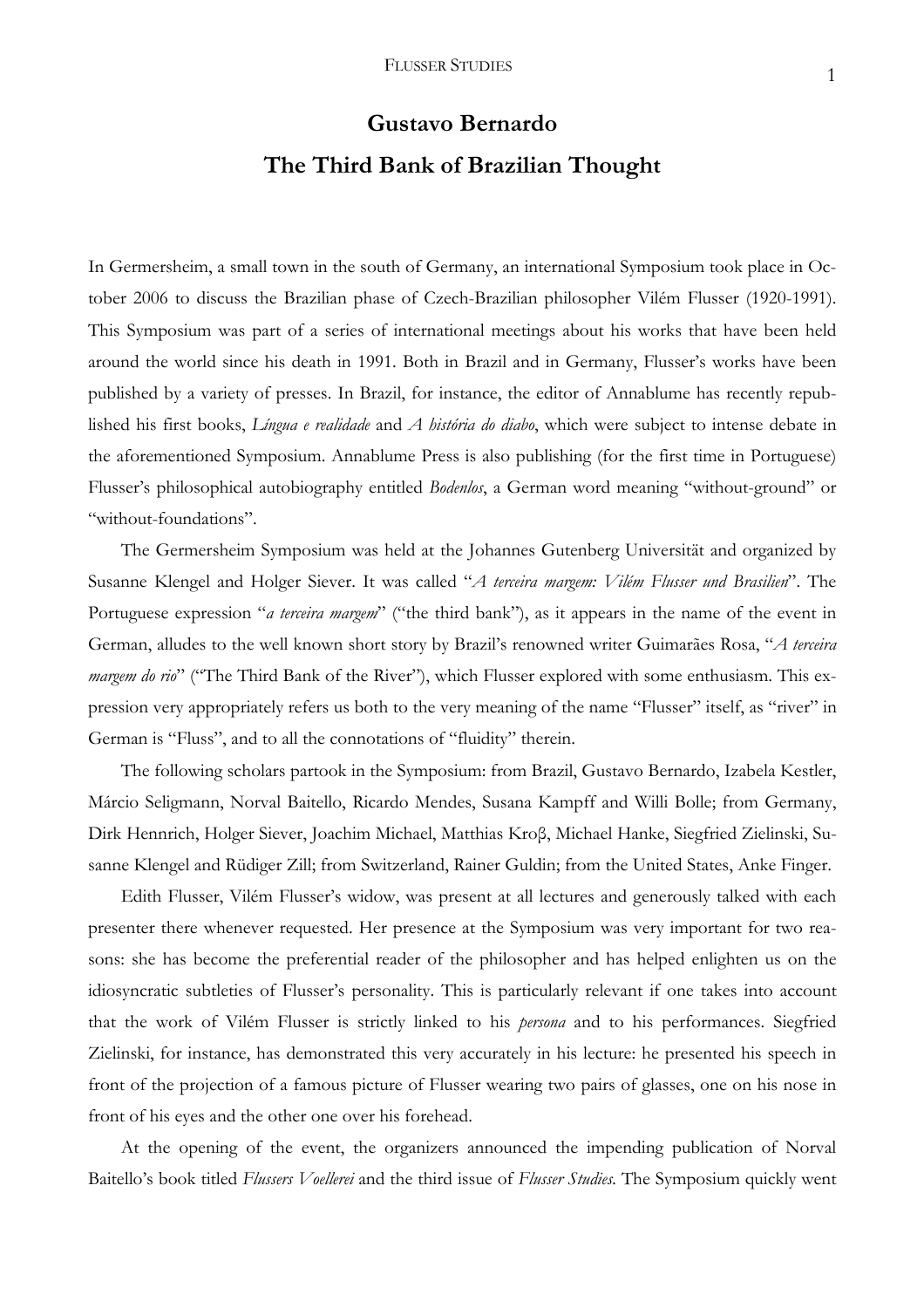## **Gustavo Bernardo The Third Bank of Brazilian Thought**

In Germersheim, a small town in the south of Germany, an international Symposium took place in October 2006 to discuss the Brazilian phase of Czech-Brazilian philosopher Vilém Flusser (1920-1991). This Symposium was part of a series of international meetings about his works that have been held around the world since his death in 1991. Both in Brazil and in Germany, Flusser's works have been published by a variety of presses. In Brazil, for instance, the editor of Annablume has recently republished his first books, *Língua e realidade* and *A história do diabo*, which were subject to intense debate in the aforementioned Symposium. Annablume Press is also publishing (for the first time in Portuguese) Flusser's philosophical autobiography entitled *Bodenlos*, a German word meaning "without-ground" or "without-foundations".

The Germersheim Symposium was held at the Johannes Gutenberg Universität and organized by Susanne Klengel and Holger Siever. It was called "*A terceira margem: Vilém Flusser und Brasilien*". The Portuguese expression "*a terceira margem*" ("the third bank"), as it appears in the name of the event in German, alludes to the well known short story by Brazil's renowned writer Guimarães Rosa, "*A terceira margem do rio*" ("The Third Bank of the River"), which Flusser explored with some enthusiasm. This expression very appropriately refers us both to the very meaning of the name "Flusser" itself, as "river" in German is "Fluss", and to all the connotations of "fluidity" therein.

The following scholars partook in the Symposium: from Brazil, Gustavo Bernardo, Izabela Kestler, Márcio Seligmann, Norval Baitello, Ricardo Mendes, Susana Kampff and Willi Bolle; from Germany, Dirk Hennrich, Holger Siever, Joachim Michael, Matthias Kroβ, Michael Hanke, Siegfried Zielinski, Susanne Klengel and Rüdiger Zill; from Switzerland, Rainer Guldin; from the United States, Anke Finger.

Edith Flusser, Vilém Flusser's widow, was present at all lectures and generously talked with each presenter there whenever requested. Her presence at the Symposium was very important for two reasons: she has become the preferential reader of the philosopher and has helped enlighten us on the idiosyncratic subtleties of Flusser's personality. This is particularly relevant if one takes into account that the work of Vilém Flusser is strictly linked to his *persona* and to his performances. Siegfried Zielinski, for instance, has demonstrated this very accurately in his lecture: he presented his speech in front of the projection of a famous picture of Flusser wearing two pairs of glasses, one on his nose in front of his eyes and the other one over his forehead.

At the opening of the event, the organizers announced the impending publication of Norval Baitello's book titled *Flussers Voellerei* and the third issue of *Flusser Studies.* The Symposium quickly went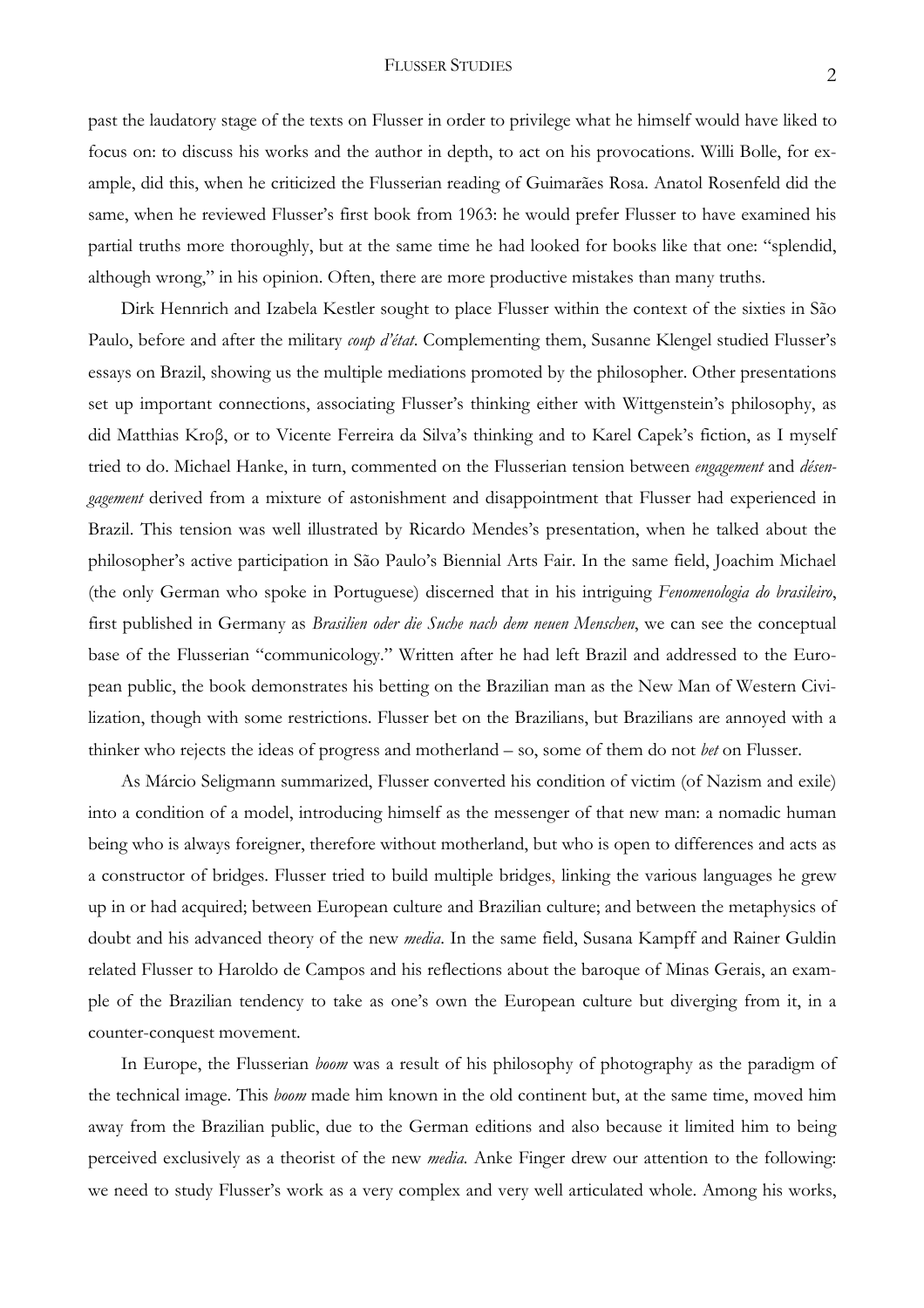## FLUSSER STUDIES 2

past the laudatory stage of the texts on Flusser in order to privilege what he himself would have liked to focus on: to discuss his works and the author in depth, to act on his provocations. Willi Bolle, for example, did this, when he criticized the Flusserian reading of Guimarães Rosa. Anatol Rosenfeld did the same, when he reviewed Flusser's first book from 1963: he would prefer Flusser to have examined his partial truths more thoroughly, but at the same time he had looked for books like that one: "splendid, although wrong," in his opinion. Often, there are more productive mistakes than many truths.

Dirk Hennrich and Izabela Kestler sought to place Flusser within the context of the sixties in São Paulo, before and after the military *coup d'état*. Complementing them, Susanne Klengel studied Flusser's essays on Brazil, showing us the multiple mediations promoted by the philosopher. Other presentations set up important connections, associating Flusser's thinking either with Wittgenstein's philosophy, as did Matthias Kroβ, or to Vicente Ferreira da Silva's thinking and to Karel Capek's fiction, as I myself tried to do. Michael Hanke, in turn, commented on the Flusserian tension between *engagement* and *désengagement* derived from a mixture of astonishment and disappointment that Flusser had experienced in Brazil. This tension was well illustrated by Ricardo Mendes's presentation, when he talked about the philosopher's active participation in São Paulo's Biennial Arts Fair. In the same field, Joachim Michael (the only German who spoke in Portuguese) discerned that in his intriguing *Fenomenologia do brasileiro*, first published in Germany as *Brasilien oder die Suche nach dem neuen Menschen*, we can see the conceptual base of the Flusserian "communicology." Written after he had left Brazil and addressed to the European public, the book demonstrates his betting on the Brazilian man as the New Man of Western Civilization, though with some restrictions. Flusser bet on the Brazilians, but Brazilians are annoyed with a thinker who rejects the ideas of progress and motherland – so, some of them do not *bet* on Flusser.

As Márcio Seligmann summarized, Flusser converted his condition of victim (of Nazism and exile) into a condition of a model, introducing himself as the messenger of that new man: a nomadic human being who is always foreigner, therefore without motherland, but who is open to differences and acts as a constructor of bridges. Flusser tried to build multiple bridges, linking the various languages he grew up in or had acquired; between European culture and Brazilian culture; and between the metaphysics of doubt and his advanced theory of the new *media*. In the same field, Susana Kampff and Rainer Guldin related Flusser to Haroldo de Campos and his reflections about the baroque of Minas Gerais, an example of the Brazilian tendency to take as one's own the European culture but diverging from it, in a counter-conquest movement.

In Europe, the Flusserian *boom* was a result of his philosophy of photography as the paradigm of the technical image. This *boom* made him known in the old continent but, at the same time, moved him away from the Brazilian public, due to the German editions and also because it limited him to being perceived exclusively as a theorist of the new *media.* Anke Finger drew our attention to the following: we need to study Flusser's work as a very complex and very well articulated whole. Among his works,